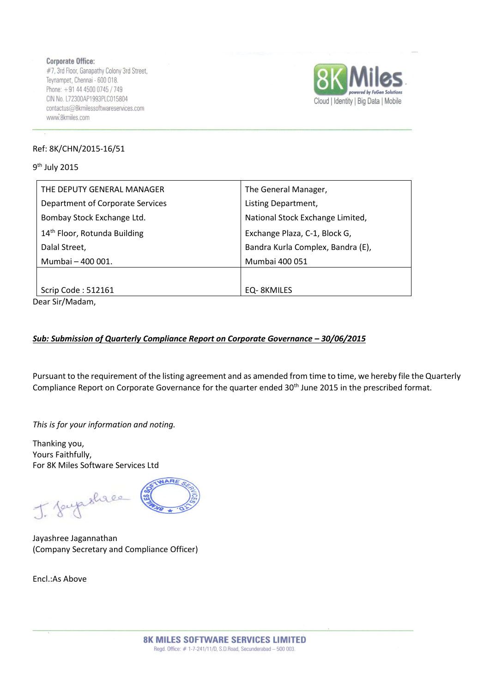**Corporate Office:** #7, 3rd Floor, Ganapathy Colony 3rd Street, Teynampet, Chennai - 600 018. Phone: +91 44 4500 0745 / 749 CIN No. L72300AP1993PLC015804 contactus@8kmilessoftwareservices.com www.8kmiles.com



## Ref: 8K/CHN/2015-16/51

9<sup>th</sup> July 2015

| THE DEPUTY GENERAL MANAGER               | The General Manager,              |  |  |
|------------------------------------------|-----------------------------------|--|--|
| Department of Corporate Services         | Listing Department,               |  |  |
| Bombay Stock Exchange Ltd.               | National Stock Exchange Limited,  |  |  |
| 14 <sup>th</sup> Floor, Rotunda Building | Exchange Plaza, C-1, Block G,     |  |  |
| Dalal Street,                            | Bandra Kurla Complex, Bandra (E), |  |  |
| Mumbai - 400 001.                        | Mumbai 400 051                    |  |  |
|                                          |                                   |  |  |
| Scrip Code: 512161                       | EQ-8KMILES                        |  |  |

Dear Sir/Madam,

## *Sub: Submission of Quarterly Compliance Report on Corporate Governance – 30/06/2015*

Pursuant to the requirement of the listing agreement and as amended from time to time, we hereby file the Quarterly Compliance Report on Corporate Governance for the quarter ended 30<sup>th</sup> June 2015 in the prescribed format.

*This is for your information and noting.*

Thanking you, Yours Faithfully, For 8K Miles Software Services Ltd

J. Soupshace

Jayashree Jagannathan (Company Secretary and Compliance Officer)

Encl.:As Above